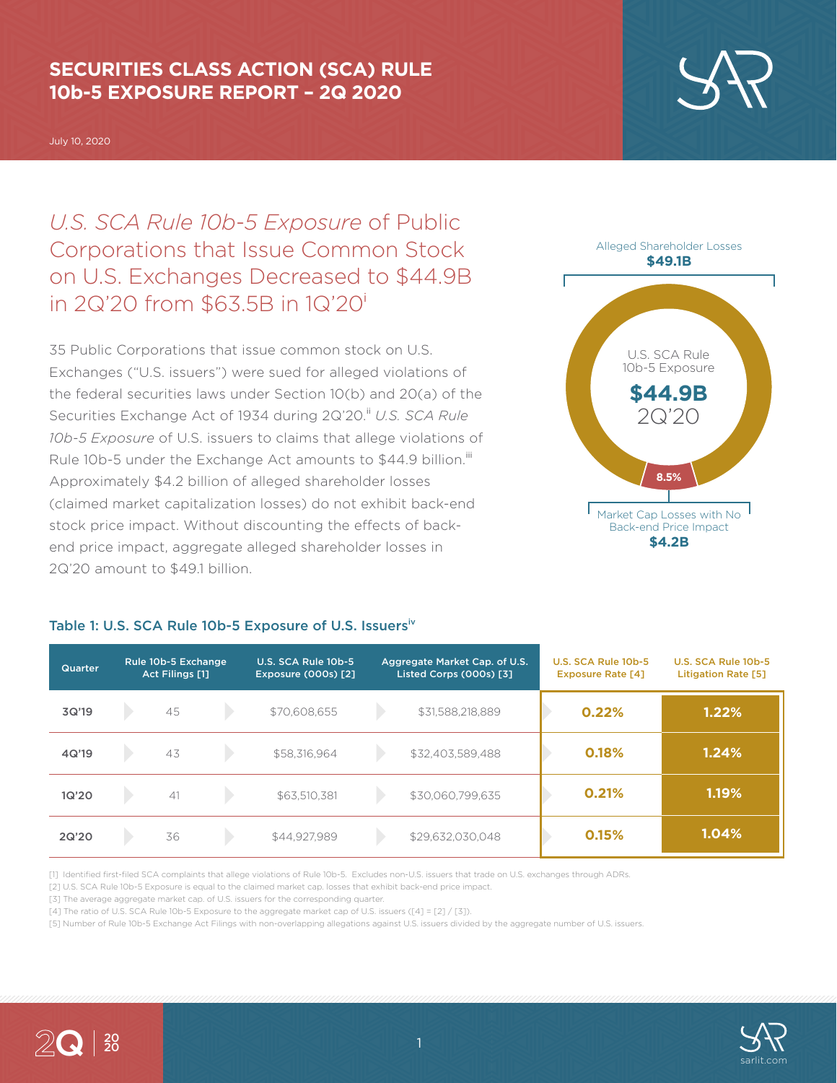### **SECURITIES CLASS ACTION (SCA) RULE 10b-5 EXPOSURE REPORT – 2Q 2020**

July 10, 2020

# *U.S. SCA Rule 10b-5 Exposure* of Public Corporations that Issue Common Stock on U.S. Exchanges Decreased to \$44.9B in 2Q'20 from \$63.5B in 1Q'20<sup>i</sup>

35 Public Corporations that issue common stock on U.S. Exchanges ("U.S. issuers") were sued for alleged violations of the federal securities laws under Section 10(b) and 20(a) of the Securities Exchange Act of 1934 during 2Q'20.<sup>ii</sup> U.S. SCA Rule *10b-5 Exposure* of U.S. issuers to claims that allege violations of Rule 10b-5 under the Exchange Act amounts to \$44.9 billion.<sup>iii</sup> Approximately \$4.2 billion of alleged shareholder losses (claimed market capitalization losses) do not exhibit back-end stock price impact. Without discounting the effects of backend price impact, aggregate alleged shareholder losses in 2Q'20 amount to \$49.1 billion.

### Table 1: U.S. SCA Rule 10b-5 Exposure of U.S. Issuersiv

| Quarter | Rule 10b-5 Exchange<br>Act Filings [1] |    | U.S. SCA Rule 10b-5<br><b>Exposure (000s) [2]</b> | Aggregate Market Cap. of U.S.<br>Listed Corps (000s) [3] |                  |  | U.S. SCA Rule 10b-5<br><b>Exposure Rate [4]</b> | U.S. SCA Rule 10b-5<br><b>Litigation Rate [5]</b> |
|---------|----------------------------------------|----|---------------------------------------------------|----------------------------------------------------------|------------------|--|-------------------------------------------------|---------------------------------------------------|
| 3Q'19   |                                        | 45 | \$70,608,655                                      |                                                          | \$31,588,218,889 |  | 0.22%                                           | 1.22%                                             |
| 4Q'19   |                                        | 43 | \$58,316,964                                      |                                                          | \$32,403,589,488 |  | 0.18%                                           | 1.24%                                             |
| 1Q'20   |                                        | 41 | \$63,510,381                                      |                                                          | \$30,060,799,635 |  | 0.21%                                           | 1.19%                                             |
| 2Q'20   |                                        | 36 | \$44,927,989                                      |                                                          | \$29,632,030,048 |  | 0.15%                                           | 1.04%                                             |

[1] Identified first-filed SCA complaints that allege violations of Rule 10b-5. Excludes non-U.S. issuers that trade on U.S. exchanges through ADRs.

[2] U.S. SCA Rule 10b-5 Exposure is equal to the claimed market cap. losses that exhibit back-end price impact.

[3] The average aggregate market cap. of U.S. issuers for the corresponding quarter.

[4] The ratio of U.S. SCA Rule 10b-5 Exposure to the aggregate market cap of U.S. issuers ([4] = [2] / [3]).

[5] Number of Rule 10b-5 Exchange Act Filings with non-overlapping allegations against U.S. issuers divided by the aggregate number of U.S. issuers.





Alleged Shareholder Losses

**\$4.2B**



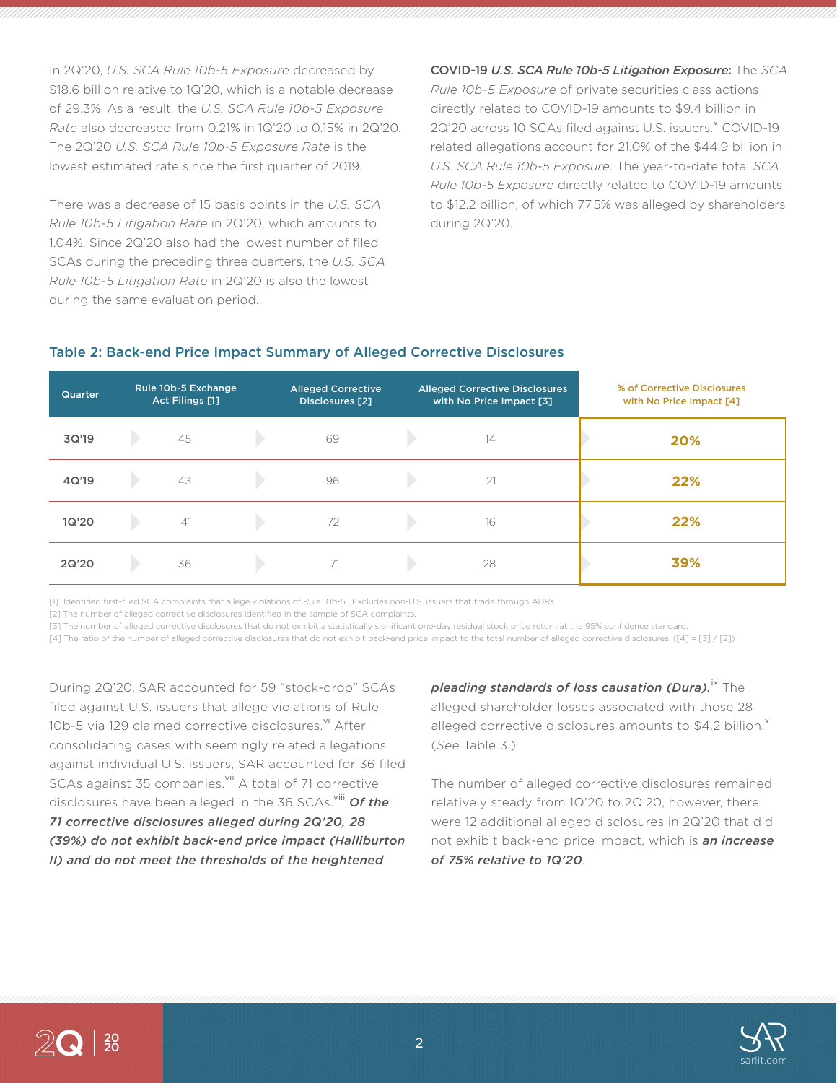In 2Q'20, *U.S. SCA Rule 10b-5 Exposure* decreased by \$18.6 billion relative to 1Q'20, which is a notable decrease of 29.3%. As a result, the *U.S. SCA Rule 10b-5 Exposure Rate* also decreased from 0.21% in 1Q'20 to 0.15% in 2Q'20. The 2Q'20 *U.S. SCA Rule 10b-5 Exposure Rate* is the lowest estimated rate since the first quarter of 2019.

There was a decrease of 15 basis points in the *U.S. SCA Rule 10b-5 Litigation Rate* in 2Q'20, which amounts to 1.04%. Since 2Q'20 also had the lowest number of filed SCAs during the preceding three quarters, the *U.S. SCA Rule 10b-5 Litigation Rate* in 2Q'20 is also the lowest during the same evaluation period.

COVID-19 *U.S. SCA Rule 10b-5 Litigation Exposure*: The *SCA Rule 10b-5 Exposure* of private securities class actions directly related to COVID-19 amounts to \$9.4 billion in 2Q'20 across 10 SCAs filed against U.S. issuers. COVID-19 related allegations account for 21.0% of the \$44.9 billion in *U.S. SCA Rule 10b-5 Exposure*. The year-to-date total *SCA Rule 10b-5 Exposure* directly related to COVID-19 amounts to \$12.2 billion, of which 77.5% was alleged by shareholders during 2Q'20.

### Table 2: Back-end Price Impact Summary of Alleged Corrective Disclosures

| <b>Quarter</b> | Rule 10b-5 Exchange<br>Act Filings [1] | <b>Alleged Corrective</b><br>Disclosures [2] | <b>Alleged Corrective Disclosures</b><br>with No Price Impact [3] |    | % of Corrective Disclosures<br>with No Price Impact [4] |
|----------------|----------------------------------------|----------------------------------------------|-------------------------------------------------------------------|----|---------------------------------------------------------|
| 3Q'19          | 45                                     | 69                                           |                                                                   | 14 | 20%                                                     |
| 4Q'19          | 43                                     | 96                                           |                                                                   | 21 | 22%                                                     |
| 1Q'20          | 41                                     | 72                                           |                                                                   | 16 | 22%                                                     |
| 2Q'20          | 36                                     |                                              |                                                                   | 28 | 39%                                                     |

[1] Identified first-filed SCA complaints that allege violations of Rule 10b-5. Excludes non-U.S. issuers that trade through ADRs.

[2] The number of alleged corrective disclosures identified in the sample of SCA complaints.

[3] The number of alleged corrective disclosures that do not exhibit a statistically significant one-day residual stock price return at the 95% confidence standard.

[4] The ratio of the number of alleged corrective disclosures that do not exhibit back-end price impact to the total number of alleged corrective disclosures. ([4] = [3] / [2])

During 2Q'20, SAR accounted for 59 "stock-drop" SCAs filed against U.S. issuers that allege violations of Rule 10b-5 via 129 claimed corrective disclosures. $\frac{v_i}{v}$  After consolidating cases with seemingly related allegations against individual U.S. issuers, SAR accounted for 36 filed SCAs against 35 companies.<sup>vii</sup> A total of 71 corrective disclosures have been alleged in the 36 SCAs.<sup>viii</sup> Of the *71 corrective disclosures alleged during 2Q'20, 28 (39%) do not exhibit back-end price impact (Halliburton II) and do not meet the thresholds of the heightened* 

*pleading standards of loss causation (Dura).***<sup>ix</sup> The** alleged shareholder losses associated with those 28 alleged corrective disclosures amounts to \$4.2 billion. $^{\text{X}}$ (*See* Table 3.)

The number of alleged corrective disclosures remained relatively steady from 1Q'20 to 2Q'20, however, there were 12 additional alleged disclosures in 2Q'20 that did not exhibit back-end price impact, which is *an increase of 75% relative to 1Q'20*.

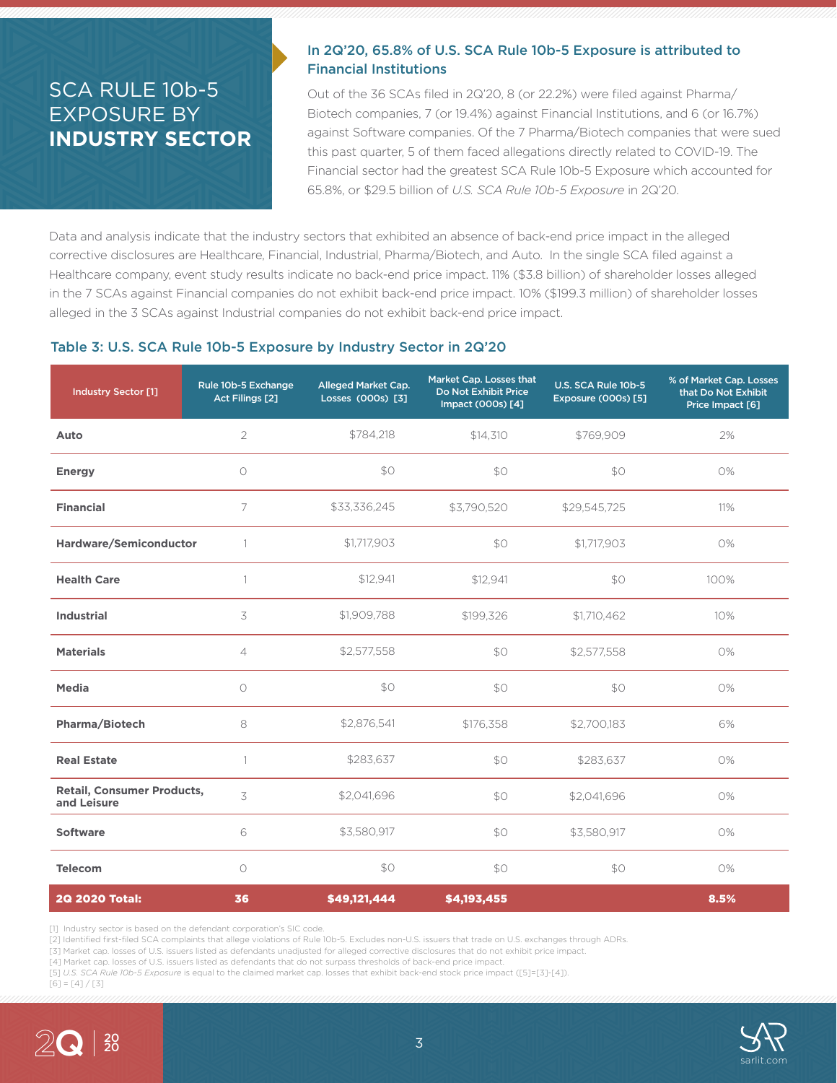## SCA RULE 10b-5 EXPOSURE BY **INDUSTRY SECTOR**

### In 2Q'20, 65.8% of U.S. SCA Rule 10b-5 Exposure is attributed to Financial Institutions

Out of the 36 SCAs filed in 2Q'20, 8 (or 22.2%) were filed against Pharma/ Biotech companies, 7 (or 19.4%) against Financial Institutions, and 6 (or 16.7%) against Software companies. Of the 7 Pharma/Biotech companies that were sued this past quarter, 5 of them faced allegations directly related to COVID-19. The Financial sector had the greatest SCA Rule 10b-5 Exposure which accounted for 65.8%, or \$29.5 billion of *U.S. SCA Rule 10b-5 Exposure* in 2Q'20.

Data and analysis indicate that the industry sectors that exhibited an absence of back-end price impact in the alleged corrective disclosures are Healthcare, Financial, Industrial, Pharma/Biotech, and Auto. In the single SCA filed against a Healthcare company, event study results indicate no back-end price impact. 11% (\$3.8 billion) of shareholder losses alleged in the 7 SCAs against Financial companies do not exhibit back-end price impact. 10% (\$199.3 million) of shareholder losses alleged in the 3 SCAs against Industrial companies do not exhibit back-end price impact.

#### Table 3: U.S. SCA Rule 10b-5 Exposure by Industry Sector in 2Q'20

| <b>Industry Sector [1]</b>                       | Rule 10b-5 Exchange<br>Act Filings [2] | Alleged Market Cap.<br>Losses (000s) [3] | Market Cap. Losses that<br>Do Not Exhibit Price<br>Impact (000s) [4] | U.S. SCA Rule 10b-5<br>Exposure (000s) [5] | % of Market Cap. Losses<br>that Do Not Exhibit<br>Price Impact [6] |
|--------------------------------------------------|----------------------------------------|------------------------------------------|----------------------------------------------------------------------|--------------------------------------------|--------------------------------------------------------------------|
| Auto                                             | $\overline{2}$                         | \$784,218                                | \$14,310                                                             | \$769,909                                  | 2%                                                                 |
| <b>Energy</b>                                    | $\circ$                                | \$0                                      | \$0                                                                  | \$0                                        | 0%                                                                 |
| <b>Financial</b>                                 | 7                                      | \$33,336,245                             | \$3,790,520                                                          | \$29,545,725                               | 11%                                                                |
| Hardware/Semiconductor                           | $\overline{1}$                         | \$1,717,903                              | \$0                                                                  | \$1,717,903                                | 0%                                                                 |
| <b>Health Care</b>                               | 1                                      | \$12.941                                 | \$12,941                                                             | SO                                         | 100%                                                               |
| <b>Industrial</b>                                | 3                                      | \$1,909,788                              | \$199,326                                                            | \$1,710,462                                | 10%                                                                |
| <b>Materials</b>                                 | $\overline{4}$                         | \$2,577,558                              | \$0                                                                  | \$2,577,558                                | 0%                                                                 |
| Media                                            | $\circ$                                | \$0                                      | \$0                                                                  | \$0                                        | 0%                                                                 |
| <b>Pharma/Biotech</b>                            | 8                                      | \$2,876,541                              | \$176,358                                                            | \$2,700,183                                | 6%                                                                 |
| <b>Real Estate</b>                               | $\mathbf{1}$                           | \$283,637                                | \$0                                                                  | \$283,637                                  | 0%                                                                 |
| <b>Retail, Consumer Products,</b><br>and Leisure | 3                                      | \$2,041,696                              | \$O                                                                  | \$2,041,696                                | O%                                                                 |
| <b>Software</b>                                  | 6                                      | \$3,580,917                              | \$0                                                                  | \$3,580,917                                | 0%                                                                 |
| <b>Telecom</b>                                   | $\circ$                                | \$0                                      | \$0                                                                  | \$0                                        | 0%                                                                 |
| 2Q 2020 Total:                                   | 36                                     | \$49,121,444                             | \$4,193,455                                                          |                                            | 8.5%                                                               |

[1] Industry sector is based on the defendant corporation's SIC code.

[2] Identified first-filed SCA complaints that allege violations of Rule 10b-5. Excludes non-U.S. issuers that trade on U.S. exchanges through ADRs.

[3] Market cap. losses of U.S. issuers listed as defendants unadjusted for alleged corrective disclosures that do not exhibit price impact.

[4] Market cap. losses of U.S. issuers listed as defendants that do not surpass thresholds of back-end price impact. [5] *U.S. SCA Rule 10b-5 Exposure* is equal to the claimed market cap. losses that exhibit back-end stock price impact ([5]=[3]-[4]).

 $[6] = [4]/[3]$ 

20

2Q

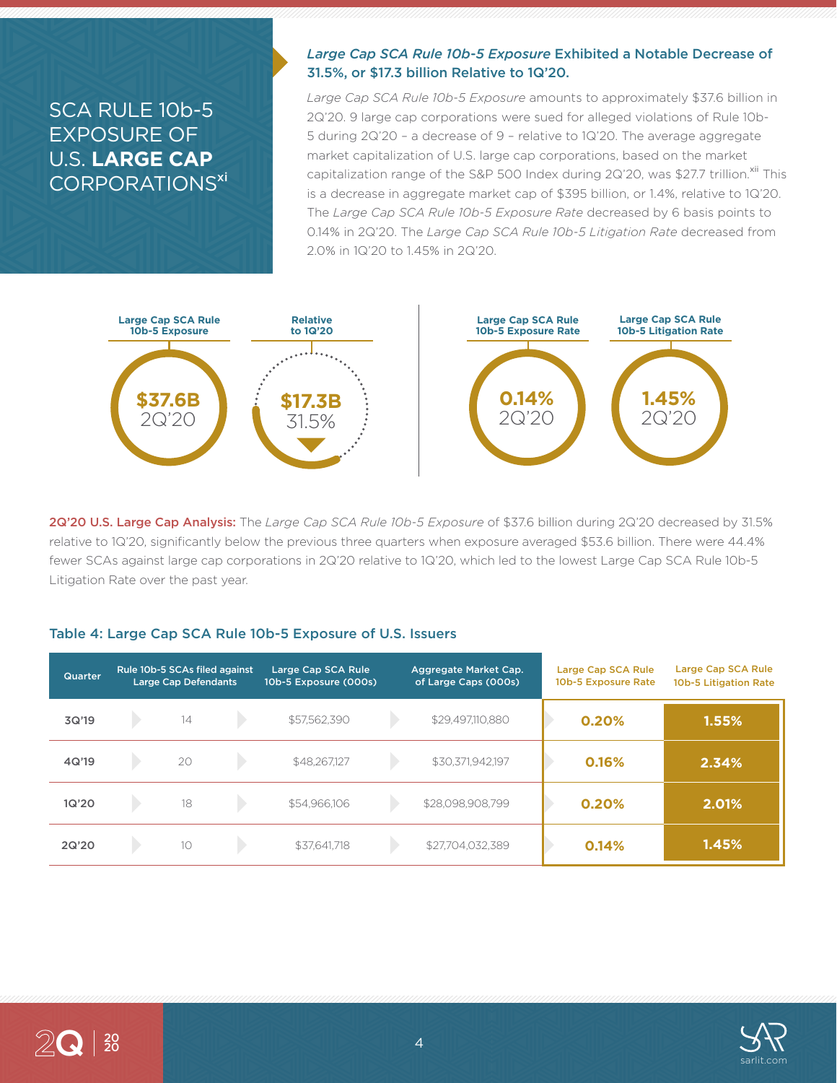### SCA RULE 10b-5 EXPOSURE OF U.S. **LARGE CAP** CORPORATIONS<sup>xi</sup>

### *Large Cap SCA Rule 10b-5 Exposure* Exhibited a Notable Decrease of 31.5%, or \$17.3 billion Relative to 1Q'20.

*Large Cap SCA Rule 10b-5 Exposure* amounts to approximately \$37.6 billion in 2Q'20. 9 large cap corporations were sued for alleged violations of Rule 10b-5 during 2Q'20 – a decrease of 9 – relative to 1Q'20. The average aggregate market capitalization of U.S. large cap corporations, based on the market capitalization range of the S&P 500 Index during 2Q'20, was \$27.7 trillion.<sup>xii</sup> This is a decrease in aggregate market cap of \$395 billion, or 1.4%, relative to 1Q'20. The *Large Cap SCA Rule 10b-5 Exposure Rate* decreased by 6 basis points to 0.14% in 2Q'20. The *Large Cap SCA Rule 10b-5 Litigation Rate* decreased from 2.0% in 1Q'20 to 1.45% in 2Q'20.



2Q'20 U.S. Large Cap Analysis: The *Large Cap SCA Rule 10b-5 Exposure* of \$37.6 billion during 2Q'20 decreased by 31.5% relative to 1Q'20, significantly below the previous three quarters when exposure averaged \$53.6 billion. There were 44.4% fewer SCAs against large cap corporations in 2Q'20 relative to 1Q'20, which led to the lowest Large Cap SCA Rule 10b-5 Litigation Rate over the past year.

#### Table 4: Large Cap SCA Rule 10b-5 Exposure of U.S. Issuers

| <b>Quarter</b> | Rule 10b-5 SCAs filed against<br><b>Large Cap Defendants</b> |    | Large Cap SCA Rule<br>10b-5 Exposure (000s) |              | Aggregate Market Cap.<br>of Large Caps (000s) | Large Cap SCA Rule<br>10b-5 Exposure Rate | Large Cap SCA Rule<br>10b-5 Litigation Rate |       |
|----------------|--------------------------------------------------------------|----|---------------------------------------------|--------------|-----------------------------------------------|-------------------------------------------|---------------------------------------------|-------|
| 3Q'19          |                                                              | 14 |                                             | \$57,562,390 |                                               | \$29,497,110,880                          | 0.20%                                       | 1.55% |
| 4Q'19          |                                                              | 20 |                                             | \$48,267,127 |                                               | \$30,371,942,197                          | 0.16%                                       | 2.34% |
| 1Q'20          |                                                              | 18 |                                             | \$54,966,106 |                                               | \$28,098,908,799                          | 0.20%                                       | 2.01% |
| 2Q'20          |                                                              | 10 |                                             | \$37,641,718 |                                               | \$27,704,032,389                          | 0.14%                                       | 1.45% |

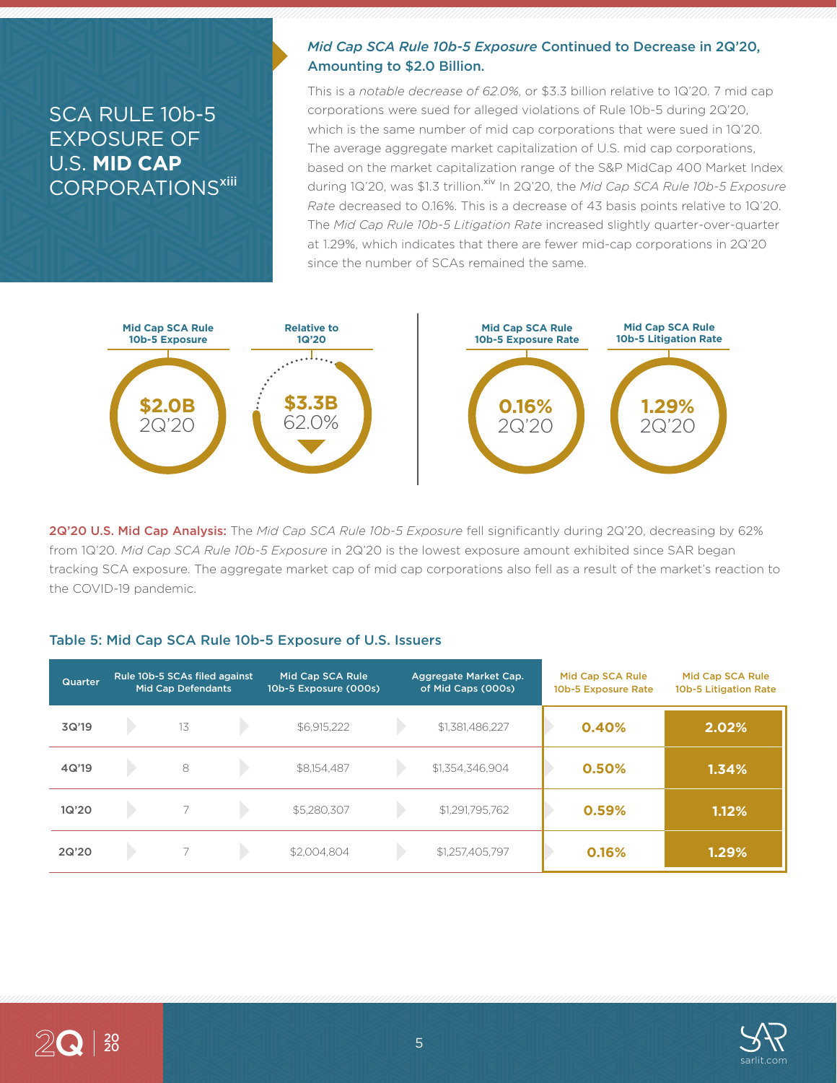### SCA RULE 10b-5 EXPOSURE OF U.S. **MID CAP** CORPORATIONS<sup>xiii</sup>

### *Mid Cap SCA Rule 10b-5 Exposure* Continued to Decrease in 2Q'20, Amounting to \$2.0 Billion.

This is a *notable decrease of 62.0%*, or \$3.3 billion relative to 1Q'20. 7 mid cap corporations were sued for alleged violations of Rule 10b-5 during 2Q'20, which is the same number of mid cap corporations that were sued in 1Q'20. The average aggregate market capitalization of U.S. mid cap corporations, based on the market capitalization range of the S&P MidCap 400 Market Index during 1Q'20, was \$1.3 trillion.<sup>xiv</sup> In 2Q'20, the *Mid Cap SCA Rule 10b-5 Exposure Rate* decreased to 0.16%. This is a decrease of 43 basis points relative to 1Q'20. The *Mid Cap Rule 10b-5 Litigation Rate* increased slightly quarter-over-quarter at 1.29%, which indicates that there are fewer mid-cap corporations in 2Q'20 since the number of SCAs remained the same.



2Q'20 U.S. Mid Cap Analysis: The *Mid Cap SCA Rule 10b-5 Exposure* fell significantly during 2Q'20, decreasing by 62% from 1Q'20. *Mid Cap SCA Rule 10b-5 Exposure* in 2Q'20 is the lowest exposure amount exhibited since SAR began tracking SCA exposure. The aggregate market cap of mid cap corporations also fell as a result of the market's reaction to the COVID-19 pandemic.

### Table 5: Mid Cap SCA Rule 10b-5 Exposure of U.S. Issuers

| Quarter | Rule 10b-5 SCAs filed against<br><b>Mid Cap Defendants</b> |    | Mid Cap SCA Rule<br>10b-5 Exposure (000s) |             | Aggregate Market Cap.<br>of Mid Caps (000s) | Mid Cap SCA Rule<br>10b-5 Exposure Rate | Mid Cap SCA Rule<br>10b-5 Litigation Rate |       |
|---------|------------------------------------------------------------|----|-------------------------------------------|-------------|---------------------------------------------|-----------------------------------------|-------------------------------------------|-------|
| 3Q'19   |                                                            | 13 |                                           | \$6,915,222 |                                             | \$1,381,486,227                         | 0.40%                                     | 2.02% |
| 4Q'19   |                                                            | 8  |                                           | \$8,154,487 |                                             | \$1,354,346,904                         | 0.50%                                     | 1.34% |
| 1Q'20   |                                                            |    |                                           | \$5,280,307 |                                             | \$1,291,795,762                         | 0.59%                                     | 1.12% |
| 2Q'20   |                                                            |    |                                           | \$2,004.804 |                                             | \$1,257,405,797                         | 0.16%                                     | 1.29% |

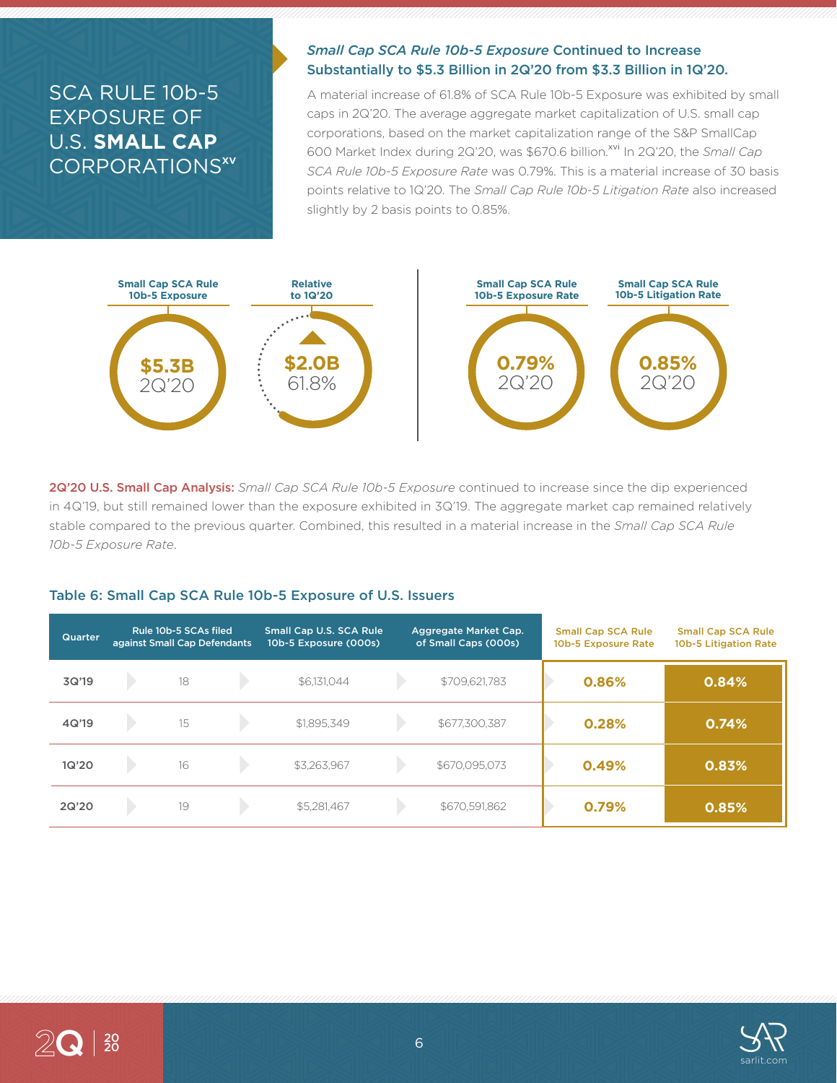## SCA RULE 10b-5 EXPOSURE OF U.S. **SMALL CAP** CORPORATIONS<sup>xv</sup>

### *Small Cap SCA Rule 10b-5 Exposure* Continued to Increase Substantially to \$5.3 Billion in 2Q'20 from \$3.3 Billion in 1Q'20.

A material increase of 61.8% of SCA Rule 10b-5 Exposure was exhibited by small caps in 2Q'20. The average aggregate market capitalization of U.S. small cap corporations, based on the market capitalization range of the S&P SmallCap 600 Market Index during 2Q'20, was \$670.6 billion.<sup>xvi</sup> In 2Q'20, the *Small Cap SCA Rule 10b-5 Exposure Rate* was 0.79%. This is a material increase of 30 basis points relative to 1Q'20. The *Small Cap Rule 10b-5 Litigation Rate* also increased slightly by 2 basis points to 0.85%.



2Q'20 U.S. Small Cap Analysis: *Small Cap SCA Rule 10b-5 Exposure* continued to increase since the dip experienced in 4Q'19, but still remained lower than the exposure exhibited in 3Q'19. The aggregate market cap remained relatively stable compared to the previous quarter. Combined, this resulted in a material increase in the *Small Cap SCA Rule 10b-5 Exposure Rate*.

#### Table 6: Small Cap SCA Rule 10b-5 Exposure of U.S. Issuers

| <b>Quarter</b> | Rule 10b-5 SCAs filed<br>against Small Cap Defendants |    | <b>Small Cap U.S. SCA Rule</b><br>Aggregate Market Cap.<br>of Small Caps (000s)<br>10b-5 Exposure (000s) |             | <b>Small Cap SCA Rule</b><br>10b-5 Exposure Rate | <b>Small Cap SCA Rule</b><br>10b-5 Litigation Rate |       |       |
|----------------|-------------------------------------------------------|----|----------------------------------------------------------------------------------------------------------|-------------|--------------------------------------------------|----------------------------------------------------|-------|-------|
| 3Q'19          |                                                       | 18 |                                                                                                          | \$6,131,044 |                                                  | \$709,621,783                                      | 0.86% | 0.84% |
| 4Q'19          |                                                       | 15 |                                                                                                          | \$1,895,349 |                                                  | \$677,300,387                                      | 0.28% | 0.74% |
| 1Q'20          |                                                       | 16 |                                                                                                          | \$3,263,967 |                                                  | \$670,095,073                                      | 0.49% | 0.83% |
| 2Q'20          |                                                       | 19 |                                                                                                          | \$5,281,467 |                                                  | \$670,591,862                                      | 0.79% | 0.85% |

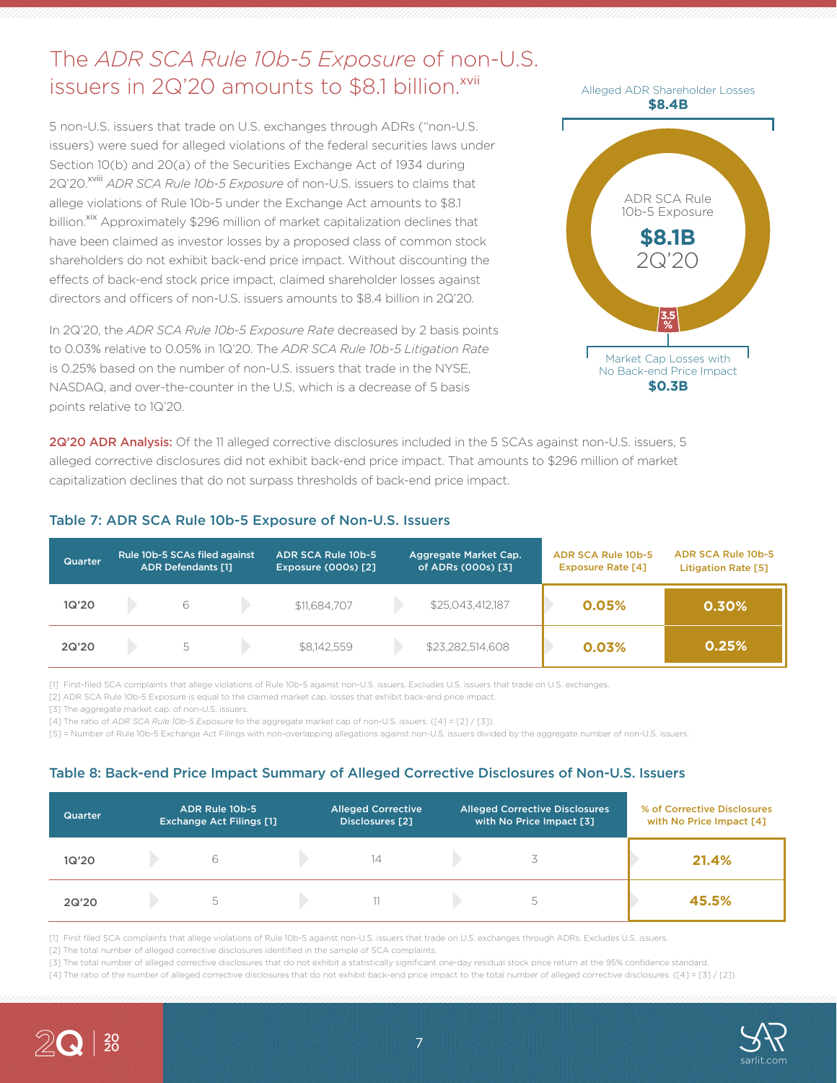# The *ADR SCA Rule 10b-5 Exposure* of non-U.S. issuers in 2Q'20 amounts to \$8.1 billion.<sup>xvii</sup>

5 non-U.S. issuers that trade on U.S. exchanges through ADRs ("non-U.S. issuers) were sued for alleged violations of the federal securities laws under Section 10(b) and 20(a) of the Securities Exchange Act of 1934 during 2Q'20.<sup>xviii</sup> *ADR SCA Rule 10b-5 Exposure* of non-U.S. issuers to claims that allege violations of Rule 10b-5 under the Exchange Act amounts to \$8.1 billion.<sup>xix</sup> Approximately \$296 million of market capitalization declines that have been claimed as investor losses by a proposed class of common stock shareholders do not exhibit back-end price impact. Without discounting the effects of back-end stock price impact, claimed shareholder losses against directors and officers of non-U.S. issuers amounts to \$8.4 billion in 2Q'20.

In 2Q'20, the *ADR SCA Rule 10b-5 Exposure Rate* decreased by 2 basis points to 0.03% relative to 0.05% in 1Q'20. The *ADR SCA Rule 10b-5 Litigation Rate* is 0.25% based on the number of non-U.S. issuers that trade in the NYSE, NASDAQ, and over-the-counter in the U.S, which is a decrease of 5 basis points relative to 1Q'20.



2Q'20 ADR Analysis: Of the 11 alleged corrective disclosures included in the 5 SCAs against non-U.S. issuers, 5 alleged corrective disclosures did not exhibit back-end price impact. That amounts to \$296 million of market capitalization declines that do not surpass thresholds of back-end price impact.

| <b>Quarter</b> | Rule 10b-5 SCAs filed against<br><b>ADR Defendants [1]</b> |    | ADR SCA Rule 10b-5<br><b>Exposure (000s) [2]</b> |              | Aggregate Market Cap.<br>of ADRs (000s) [3] | ADR SCA Rule 10b-5<br><b>Exposure Rate [4]</b> | ADR SCA Rule 10b-5<br><b>Litigation Rate [5]</b> |       |
|----------------|------------------------------------------------------------|----|--------------------------------------------------|--------------|---------------------------------------------|------------------------------------------------|--------------------------------------------------|-------|
| 1Q'20          |                                                            | 6  |                                                  | \$11,684,707 |                                             | \$25,043,412,187                               | 0.05%                                            | 0.30% |
| 2Q'20          |                                                            | 5. |                                                  | \$8,142,559  |                                             | \$23,282,514,608                               | 0.03%                                            | 0.25% |

### Table 7: ADR SCA Rule 10b-5 Exposure of Non-U.S. Issuers

[1] First-filed SCA complaints that allege violations of Rule 10b-5 against non-U.S. issuers. Excludes U.S. issuers that trade on U.S. exchanges.

[2] ADR SCA Rule 10b-5 Exposure is equal to the claimed market cap. losses that exhibit back-end price impact.

[3] The aggregate market cap. of non-U.S. issuers.

[4] The ratio of *ADR SCA Rule 10b-5 Exposure* to the aggregate market cap of non-U.S. issuers. ([4] = [2] / [3]).

[5] = Number of Rule 10b-5 Exchange Act Filings with non-overlapping allegations against non-U.S. issuers divided by the aggregate number of non-U.S. issuers.

#### Table 8: Back-end Price Impact Summary of Alleged Corrective Disclosures of Non-U.S. Issuers

| <b>Quarter</b> | ADR Rule 10b-5<br><b>Exchange Act Filings [1]</b> | <b>Alleged Corrective</b><br>Disclosures [2] | <b>Alleged Corrective Disclosures</b><br>with No Price Impact [3]. | % of Corrective Disclosures<br>with No Price Impact [4] |
|----------------|---------------------------------------------------|----------------------------------------------|--------------------------------------------------------------------|---------------------------------------------------------|
| 1Q'20          |                                                   | 14                                           |                                                                    | 21.4%                                                   |
| 2Q'20          |                                                   |                                              |                                                                    | 45.5%                                                   |

[1] First filed SCA complaints that allege violations of Rule 10b-5 against non-U.S. issuers that trade on U.S. exchanges through ADRs. Excludes U.S. issuers.

[2] The total number of alleged corrective disclosures identified in the sample of SCA complaints.

[3] The total number of alleged corrective disclosures that do not exhibit a statistically significant one-day residual stock price return at the 95% confidence standard.

[4] The ratio of the number of alleged corrective disclosures that do not exhibit back-end price impact to the total number of alleged corrective disclosures. ([4] = [3] / [2]).